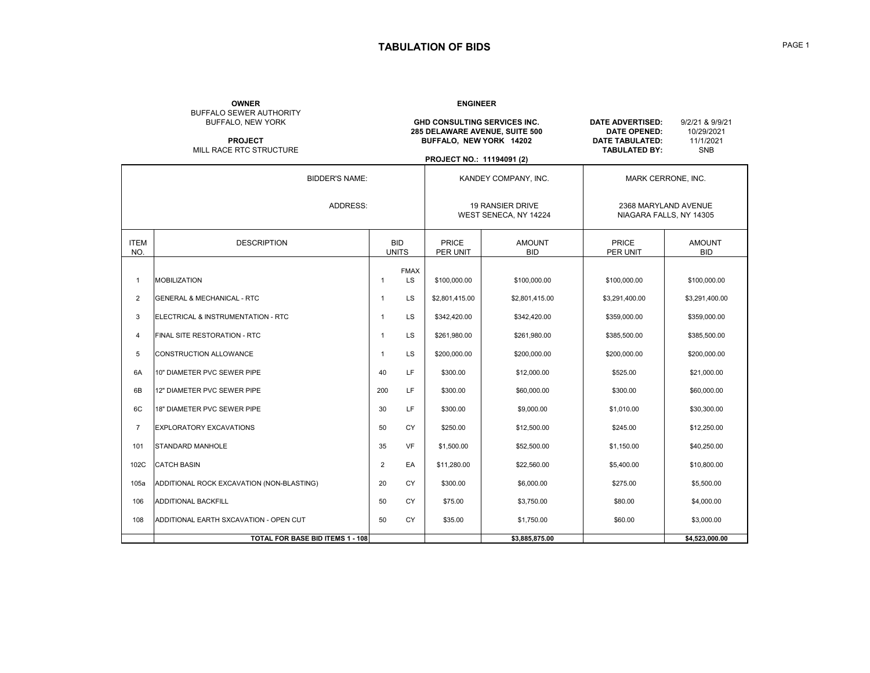## **TABULATION OF BIDS**

## **OWNER** BUFFALO SEWER AUTHORITY

**ENGINEER**

| BUFFALO, NEW YORK<br><b>PROJECT</b><br>MILL RACE RTC STRUCTURE |                                           |                      |                            | BUFFALO, NEW YORK 14202<br>PROJECT NO.: 11194091 (2) | GHD CONSULTING SERVICES INC.<br>285 DELAWARE AVENUE, SUITE 500 | <b>DATE ADVERTISED:</b><br><b>DATE OPENED:</b><br>DATE TABULATED:<br><b>TABULATED BY:</b> | 9/2/21 & 9/9/21<br>10/29/2021<br>11/1/2021<br><b>SNB</b> |
|----------------------------------------------------------------|-------------------------------------------|----------------------|----------------------------|------------------------------------------------------|----------------------------------------------------------------|-------------------------------------------------------------------------------------------|----------------------------------------------------------|
|                                                                | <b>BIDDER'S NAME:</b>                     | KANDEY COMPANY, INC. |                            |                                                      |                                                                | <b>MARK CERRONE, INC.</b>                                                                 |                                                          |
|                                                                | ADDRESS:                                  |                      |                            | 19 RANSIER DRIVE<br>WEST SENECA, NY 14224            |                                                                | 2368 MARYLAND AVENUE<br>NIAGARA FALLS, NY 14305                                           |                                                          |
| <b>ITEM</b><br>NO.                                             | <b>DESCRIPTION</b>                        |                      | <b>BID</b><br><b>UNITS</b> | <b>PRICE</b><br>PER UNIT                             | <b>AMOUNT</b><br><b>BID</b>                                    | PRICE<br>PER UNIT                                                                         | <b>AMOUNT</b><br><b>BID</b>                              |
| $\mathbf{1}$                                                   | <b>MOBILIZATION</b>                       | $\overline{1}$       | <b>FMAX</b><br>LS.         | \$100,000,00                                         | \$100,000.00                                                   | \$100,000.00                                                                              | \$100,000.00                                             |
| 2                                                              | <b>GENERAL &amp; MECHANICAL - RTC</b>     | $\mathbf{1}$         | LS                         | \$2,801,415.00                                       | \$2,801,415.00                                                 | \$3,291,400.00                                                                            | \$3,291,400.00                                           |
| 3                                                              | ELECTRICAL & INSTRUMENTATION - RTC        | $\mathbf{1}$         | LS                         | \$342,420.00                                         | \$342,420.00                                                   | \$359,000.00                                                                              | \$359,000.00                                             |
| $\overline{4}$                                                 | FINAL SITE RESTORATION - RTC              | $\mathbf{1}$         | LS                         | \$261.980.00                                         | \$261,980.00                                                   | \$385,500.00                                                                              | \$385,500.00                                             |
| 5                                                              | CONSTRUCTION ALLOWANCE                    | $\mathbf{1}$         | LS                         | \$200,000.00                                         | \$200,000.00                                                   | \$200,000.00                                                                              | \$200,000.00                                             |
| 6A                                                             | 10" DIAMETER PVC SEWER PIPE               | 40                   | LF                         | \$300.00                                             | \$12,000.00                                                    | \$525.00                                                                                  | \$21,000.00                                              |
| 6B                                                             | 12" DIAMETER PVC SEWER PIPE               | 200                  | LF                         | \$300.00                                             | \$60,000.00                                                    | \$300.00                                                                                  | \$60,000.00                                              |
| 6C                                                             | <b>18" DIAMETER PVC SEWER PIPE</b>        | 30                   | LF                         | \$300.00                                             | \$9,000.00                                                     | \$1,010.00                                                                                | \$30,300.00                                              |
| $\overline{7}$                                                 | EXPLORATORY EXCAVATIONS                   | 50                   | CY                         | \$250.00                                             | \$12,500.00                                                    | \$245.00                                                                                  | \$12,250.00                                              |
| 101                                                            | <b>STANDARD MANHOLE</b>                   | 35                   | <b>VF</b>                  | \$1,500.00                                           | \$52,500.00                                                    | \$1,150.00                                                                                | \$40,250.00                                              |
| 102C                                                           | <b>CATCH BASIN</b>                        | $\overline{2}$       | EA                         | \$11,280.00                                          | \$22,560.00                                                    | \$5,400.00                                                                                | \$10,800.00                                              |
| 105a                                                           | ADDITIONAL ROCK EXCAVATION (NON-BLASTING) | 20                   | <b>CY</b>                  | \$300.00                                             | \$6,000.00                                                     | \$275.00                                                                                  | \$5,500.00                                               |
| 106                                                            | <b>ADDITIONAL BACKFILL</b>                | 50                   | CY                         | \$75.00                                              | \$3,750.00                                                     | \$80.00                                                                                   | \$4,000.00                                               |
| 108                                                            | ADDITIONAL EARTH SXCAVATION - OPEN CUT    | 50                   | <b>CY</b>                  | \$35.00                                              | \$1,750.00                                                     | \$60.00                                                                                   | \$3,000.00                                               |
|                                                                | <b>TOTAL FOR BASE BID ITEMS 1 - 108</b>   |                      |                            |                                                      | \$3.885.875.00                                                 |                                                                                           | \$4.523.000.00                                           |